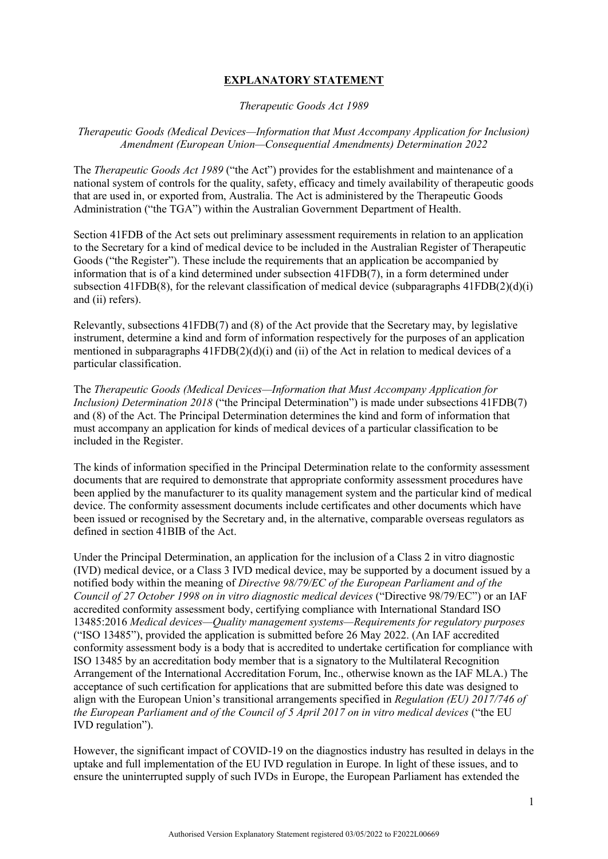# **EXPLANATORY STATEMENT**

*Therapeutic Goods Act 1989*

*Therapeutic Goods (Medical Devices—Information that Must Accompany Application for Inclusion) Amendment (European Union—Consequential Amendments) Determination 2022*

The *Therapeutic Goods Act 1989* ("the Act") provides for the establishment and maintenance of a national system of controls for the quality, safety, efficacy and timely availability of therapeutic goods that are used in, or exported from, Australia. The Act is administered by the Therapeutic Goods Administration ("the TGA") within the Australian Government Department of Health.

Section 41FDB of the Act sets out preliminary assessment requirements in relation to an application to the Secretary for a kind of medical device to be included in the Australian Register of Therapeutic Goods ("the Register"). These include the requirements that an application be accompanied by information that is of a kind determined under subsection 41FDB(7), in a form determined under subsection 41FDB(8), for the relevant classification of medical device (subparagraphs  $41FDB(2)(d)(i)$ ) and (ii) refers).

Relevantly, subsections 41FDB(7) and (8) of the Act provide that the Secretary may, by legislative instrument, determine a kind and form of information respectively for the purposes of an application mentioned in subparagraphs 41FDB(2)(d)(i) and (ii) of the Act in relation to medical devices of a particular classification.

The *Therapeutic Goods (Medical Devices—Information that Must Accompany Application for Inclusion) Determination 2018* ("the Principal Determination") is made under subsections 41FDB(7) and (8) of the Act. The Principal Determination determines the kind and form of information that must accompany an application for kinds of medical devices of a particular classification to be included in the Register.

The kinds of information specified in the Principal Determination relate to the conformity assessment documents that are required to demonstrate that appropriate conformity assessment procedures have been applied by the manufacturer to its quality management system and the particular kind of medical device. The conformity assessment documents include certificates and other documents which have been issued or recognised by the Secretary and, in the alternative, comparable overseas regulators as defined in section 41BIB of the Act.

Under the Principal Determination, an application for the inclusion of a Class 2 in vitro diagnostic (IVD) medical device, or a Class 3 IVD medical device, may be supported by a document issued by a notified body within the meaning of *Directive 98/79/EC of the European Parliament and of the Council of 27 October 1998 on in vitro diagnostic medical devices* ("Directive 98/79/EC") or an IAF accredited conformity assessment body, certifying compliance with International Standard ISO 13485:2016 *Medical devices—Quality management systems—Requirements for regulatory purposes* ("ISO 13485"), provided the application is submitted before 26 May 2022. (An IAF accredited conformity assessment body is a body that is accredited to undertake certification for compliance with ISO 13485 by an accreditation body member that is a signatory to the Multilateral Recognition Arrangement of the International Accreditation Forum, Inc., otherwise known as the IAF MLA.) The acceptance of such certification for applications that are submitted before this date was designed to align with the European Union's transitional arrangements specified in *Regulation (EU) 2017/746 of the European Parliament and of the Council of 5 April 2017 on in vitro medical devices* ("the EU IVD regulation").

However, the significant impact of COVID-19 on the diagnostics industry has resulted in delays in the uptake and full implementation of the EU IVD regulation in Europe. In light of these issues, and to ensure the uninterrupted supply of such IVDs in Europe, the European Parliament has extended the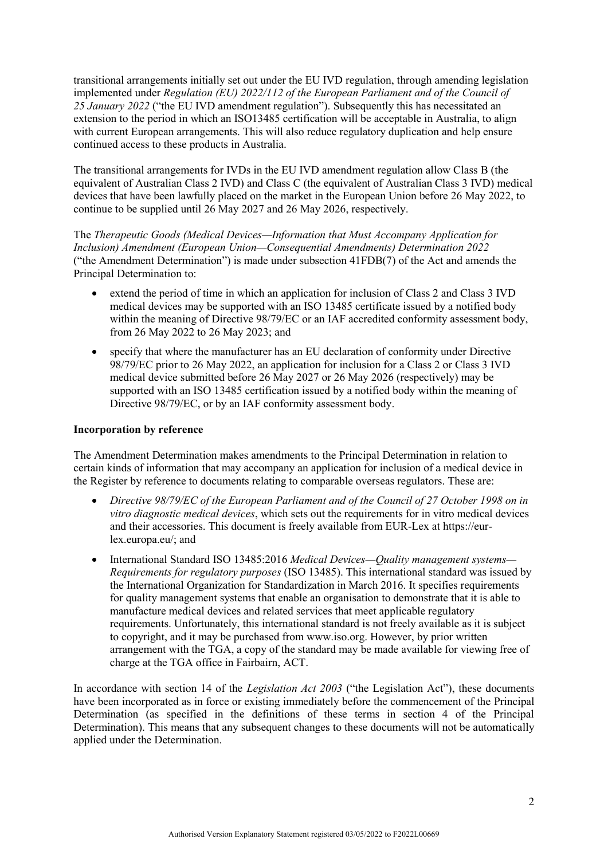transitional arrangements initially set out under the EU IVD regulation, through amending legislation implemented under *Regulation (EU) 2022/112 of the European Parliament and of the Council of 25 January 2022* ("the EU IVD amendment regulation"). Subsequently this has necessitated an extension to the period in which an ISO13485 certification will be acceptable in Australia, to align with current European arrangements. This will also reduce regulatory duplication and help ensure continued access to these products in Australia.

The transitional arrangements for IVDs in the EU IVD amendment regulation allow Class B (the equivalent of Australian Class 2 IVD) and Class C (the equivalent of Australian Class 3 IVD) medical devices that have been lawfully placed on the market in the European Union before 26 May 2022, to continue to be supplied until 26 May 2027 and 26 May 2026, respectively.

The *Therapeutic Goods (Medical Devices—Information that Must Accompany Application for Inclusion) Amendment (European Union—Consequential Amendments) Determination 2022* ("the Amendment Determination") is made under subsection 41FDB(7) of the Act and amends the Principal Determination to:

- extend the period of time in which an application for inclusion of Class 2 and Class 3 IVD medical devices may be supported with an ISO 13485 certificate issued by a notified body within the meaning of Directive 98/79/EC or an IAF accredited conformity assessment body, from 26 May 2022 to 26 May 2023; and
- specify that where the manufacturer has an EU declaration of conformity under Directive 98/79/EC prior to 26 May 2022, an application for inclusion for a Class 2 or Class 3 IVD medical device submitted before 26 May 2027 or 26 May 2026 (respectively) may be supported with an ISO 13485 certification issued by a notified body within the meaning of Directive 98/79/EC, or by an IAF conformity assessment body.

### **Incorporation by reference**

The Amendment Determination makes amendments to the Principal Determination in relation to certain kinds of information that may accompany an application for inclusion of a medical device in the Register by reference to documents relating to comparable overseas regulators. These are:

- *Directive 98/79/EC of the European Parliament and of the Council of 27 October 1998 on in vitro diagnostic medical devices*, which sets out the requirements for in vitro medical devices and their accessories. This document is freely available from EUR-Lex at https://eurlex.europa.eu/; and
- International Standard ISO 13485:2016 *Medical Devices—Quality management systems— Requirements for regulatory purposes* (ISO 13485). This international standard was issued by the International Organization for Standardization in March 2016. It specifies requirements for quality management systems that enable an organisation to demonstrate that it is able to manufacture medical devices and related services that meet applicable regulatory requirements. Unfortunately, this international standard is not freely available as it is subject to copyright, and it may be purchased from www.iso.org. However, by prior written arrangement with the TGA, a copy of the standard may be made available for viewing free of charge at the TGA office in Fairbairn, ACT.

In accordance with section 14 of the *Legislation Act 2003* ("the Legislation Act"), these documents have been incorporated as in force or existing immediately before the commencement of the Principal Determination (as specified in the definitions of these terms in section 4 of the Principal Determination). This means that any subsequent changes to these documents will not be automatically applied under the Determination.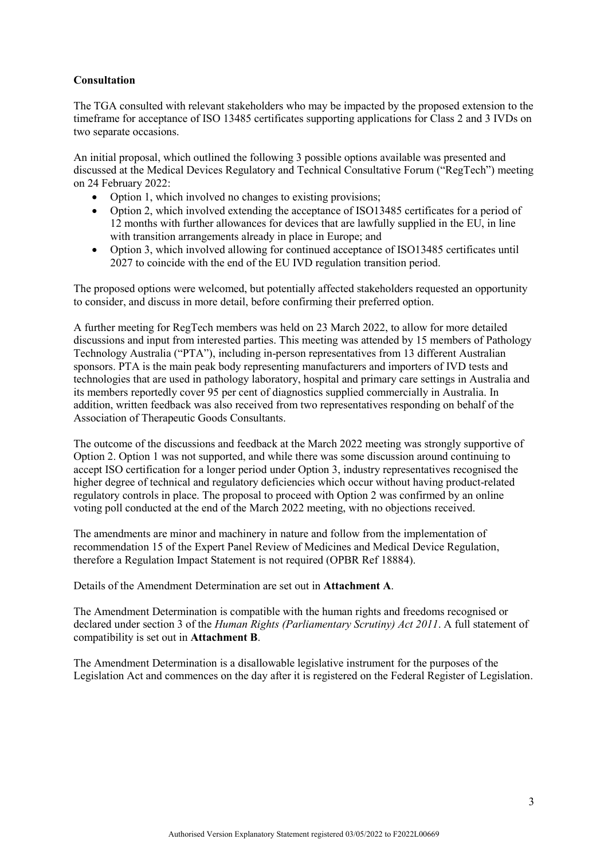# **Consultation**

The TGA consulted with relevant stakeholders who may be impacted by the proposed extension to the timeframe for acceptance of ISO 13485 certificates supporting applications for Class 2 and 3 IVDs on two separate occasions.

An initial proposal, which outlined the following 3 possible options available was presented and discussed at the Medical Devices Regulatory and Technical Consultative Forum ("RegTech") meeting on 24 February 2022:

- Option 1, which involved no changes to existing provisions;
- Option 2, which involved extending the acceptance of ISO13485 certificates for a period of 12 months with further allowances for devices that are lawfully supplied in the EU, in line with transition arrangements already in place in Europe; and
- Option 3, which involved allowing for continued acceptance of ISO13485 certificates until 2027 to coincide with the end of the EU IVD regulation transition period.

The proposed options were welcomed, but potentially affected stakeholders requested an opportunity to consider, and discuss in more detail, before confirming their preferred option.

A further meeting for RegTech members was held on 23 March 2022, to allow for more detailed discussions and input from interested parties. This meeting was attended by 15 members of Pathology Technology Australia ("PTA"), including in-person representatives from 13 different Australian sponsors. PTA is the main peak body representing manufacturers and importers of IVD tests and technologies that are used in pathology laboratory, hospital and primary care settings in Australia and its members reportedly cover 95 per cent of diagnostics supplied commercially in Australia. In addition, written feedback was also received from two representatives responding on behalf of the Association of Therapeutic Goods Consultants.

The outcome of the discussions and feedback at the March 2022 meeting was strongly supportive of Option 2. Option 1 was not supported, and while there was some discussion around continuing to accept ISO certification for a longer period under Option 3, industry representatives recognised the higher degree of technical and regulatory deficiencies which occur without having product-related regulatory controls in place. The proposal to proceed with Option 2 was confirmed by an online voting poll conducted at the end of the March 2022 meeting, with no objections received.

The amendments are minor and machinery in nature and follow from the implementation of recommendation 15 of the Expert Panel Review of Medicines and Medical Device Regulation, therefore a Regulation Impact Statement is not required (OPBR Ref 18884).

Details of the Amendment Determination are set out in **Attachment A**.

The Amendment Determination is compatible with the human rights and freedoms recognised or declared under section 3 of the *Human Rights (Parliamentary Scrutiny) Act 2011*. A full statement of compatibility is set out in **Attachment B**.

The Amendment Determination is a disallowable legislative instrument for the purposes of the Legislation Act and commences on the day after it is registered on the Federal Register of Legislation.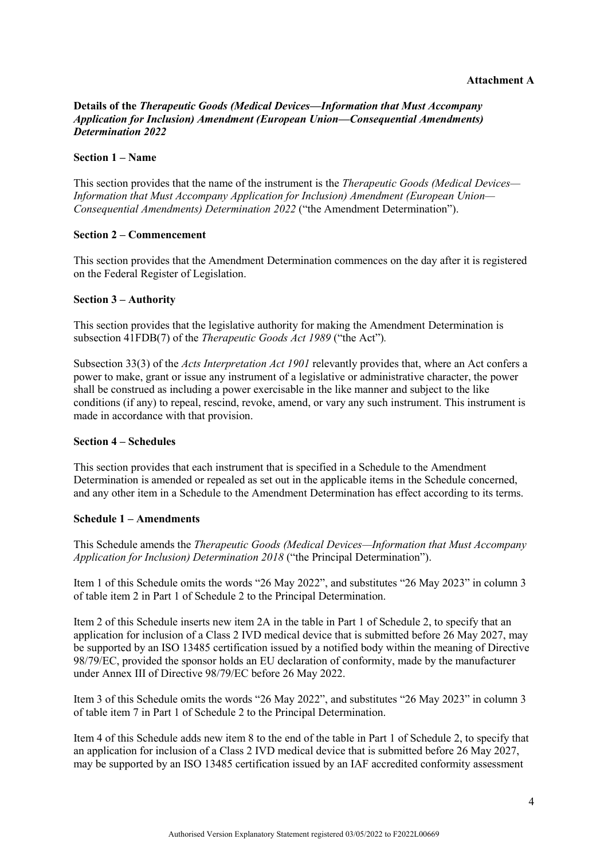### **Details of the** *Therapeutic Goods (Medical Devices—Information that Must Accompany Application for Inclusion) Amendment (European Union—Consequential Amendments) Determination 2022*

#### **Section 1 – Name**

This section provides that the name of the instrument is the *Therapeutic Goods (Medical Devices— Information that Must Accompany Application for Inclusion) Amendment (European Union— Consequential Amendments) Determination 2022* ("the Amendment Determination").

#### **Section 2 – Commencement**

This section provides that the Amendment Determination commences on the day after it is registered on the Federal Register of Legislation.

#### **Section 3 – Authority**

This section provides that the legislative authority for making the Amendment Determination is subsection 41FDB(7) of the *Therapeutic Goods Act 1989* ("the Act")*.*

Subsection 33(3) of the *Acts Interpretation Act 1901* relevantly provides that, where an Act confers a power to make, grant or issue any instrument of a legislative or administrative character, the power shall be construed as including a power exercisable in the like manner and subject to the like conditions (if any) to repeal, rescind, revoke, amend, or vary any such instrument. This instrument is made in accordance with that provision.

### **Section 4 – Schedules**

This section provides that each instrument that is specified in a Schedule to the Amendment Determination is amended or repealed as set out in the applicable items in the Schedule concerned, and any other item in a Schedule to the Amendment Determination has effect according to its terms.

### **Schedule 1 – Amendments**

This Schedule amends the *Therapeutic Goods (Medical Devices—Information that Must Accompany Application for Inclusion) Determination 2018* ("the Principal Determination").

Item 1 of this Schedule omits the words "26 May 2022", and substitutes "26 May 2023" in column 3 of table item 2 in Part 1 of Schedule 2 to the Principal Determination.

Item 2 of this Schedule inserts new item 2A in the table in Part 1 of Schedule 2, to specify that an application for inclusion of a Class 2 IVD medical device that is submitted before 26 May 2027, may be supported by an ISO 13485 certification issued by a notified body within the meaning of Directive 98/79/EC, provided the sponsor holds an EU declaration of conformity, made by the manufacturer under Annex III of Directive 98/79/EC before 26 May 2022.

Item 3 of this Schedule omits the words "26 May 2022", and substitutes "26 May 2023" in column 3 of table item 7 in Part 1 of Schedule 2 to the Principal Determination.

Item 4 of this Schedule adds new item 8 to the end of the table in Part 1 of Schedule 2, to specify that an application for inclusion of a Class 2 IVD medical device that is submitted before 26 May 2027, may be supported by an ISO 13485 certification issued by an IAF accredited conformity assessment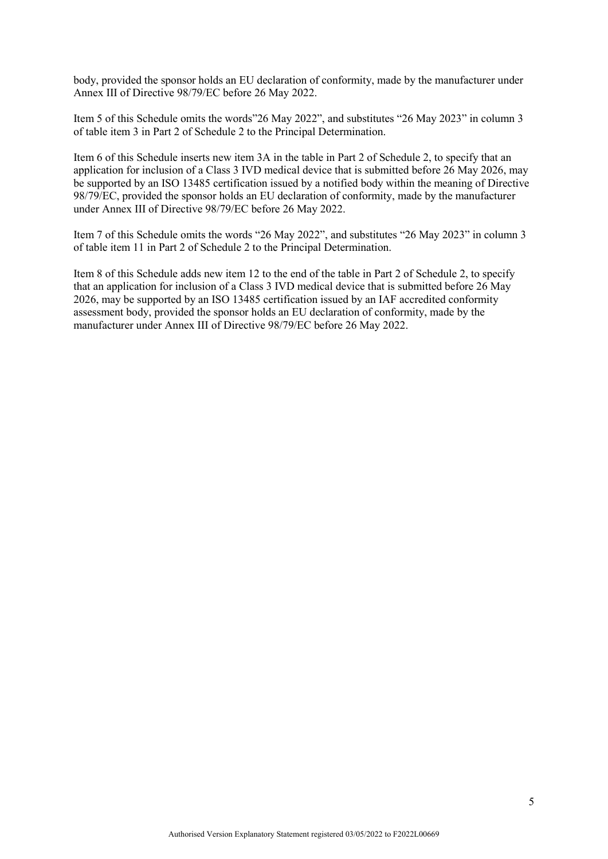body, provided the sponsor holds an EU declaration of conformity, made by the manufacturer under Annex III of Directive 98/79/EC before 26 May 2022.

Item 5 of this Schedule omits the words"26 May 2022", and substitutes "26 May 2023" in column 3 of table item 3 in Part 2 of Schedule 2 to the Principal Determination.

Item 6 of this Schedule inserts new item 3A in the table in Part 2 of Schedule 2, to specify that an application for inclusion of a Class 3 IVD medical device that is submitted before 26 May 2026, may be supported by an ISO 13485 certification issued by a notified body within the meaning of Directive 98/79/EC, provided the sponsor holds an EU declaration of conformity, made by the manufacturer under Annex III of Directive 98/79/EC before 26 May 2022.

Item 7 of this Schedule omits the words "26 May 2022", and substitutes "26 May 2023" in column 3 of table item 11 in Part 2 of Schedule 2 to the Principal Determination.

Item 8 of this Schedule adds new item 12 to the end of the table in Part 2 of Schedule 2, to specify that an application for inclusion of a Class 3 IVD medical device that is submitted before  $26$  May 2026, may be supported by an ISO 13485 certification issued by an IAF accredited conformity assessment body, provided the sponsor holds an EU declaration of conformity, made by the manufacturer under Annex III of Directive 98/79/EC before 26 May 2022.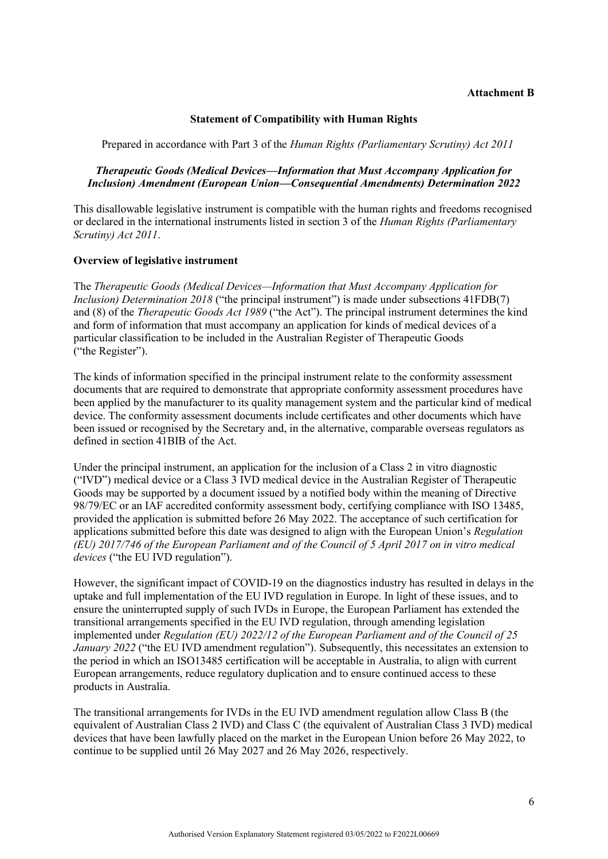#### **Attachment B**

### **Statement of Compatibility with Human Rights**

Prepared in accordance with Part 3 of the *Human Rights (Parliamentary Scrutiny) Act 2011*

## *Therapeutic Goods (Medical Devices—Information that Must Accompany Application for Inclusion) Amendment (European Union—Consequential Amendments) Determination 2022*

This disallowable legislative instrument is compatible with the human rights and freedoms recognised or declared in the international instruments listed in section 3 of the *Human Rights (Parliamentary Scrutiny) Act 2011*.

### **Overview of legislative instrument**

The *Therapeutic Goods (Medical Devices—Information that Must Accompany Application for Inclusion) Determination 2018* ("the principal instrument") is made under subsections 41FDB(7) and (8) of the *Therapeutic Goods Act 1989* ("the Act"). The principal instrument determines the kind and form of information that must accompany an application for kinds of medical devices of a particular classification to be included in the Australian Register of Therapeutic Goods ("the Register").

The kinds of information specified in the principal instrument relate to the conformity assessment documents that are required to demonstrate that appropriate conformity assessment procedures have been applied by the manufacturer to its quality management system and the particular kind of medical device. The conformity assessment documents include certificates and other documents which have been issued or recognised by the Secretary and, in the alternative, comparable overseas regulators as defined in section 41BIB of the Act.

Under the principal instrument, an application for the inclusion of a Class 2 in vitro diagnostic ("IVD") medical device or a Class 3 IVD medical device in the Australian Register of Therapeutic Goods may be supported by a document issued by a notified body within the meaning of Directive 98/79/EC or an IAF accredited conformity assessment body, certifying compliance with ISO 13485, provided the application is submitted before 26 May 2022. The acceptance of such certification for applications submitted before this date was designed to align with the European Union's *Regulation (EU) 2017/746 of the European Parliament and of the Council of 5 April 2017 on in vitro medical devices* ("the EU IVD regulation").

However, the significant impact of COVID-19 on the diagnostics industry has resulted in delays in the uptake and full implementation of the EU IVD regulation in Europe. In light of these issues, and to ensure the uninterrupted supply of such IVDs in Europe, the European Parliament has extended the transitional arrangements specified in the EU IVD regulation, through amending legislation implemented under *Regulation (EU) 2022/12 of the European Parliament and of the Council of 25 January 2022* ("the EU IVD amendment regulation"). Subsequently, this necessitates an extension to the period in which an ISO13485 certification will be acceptable in Australia, to align with current European arrangements, reduce regulatory duplication and to ensure continued access to these products in Australia.

The transitional arrangements for IVDs in the EU IVD amendment regulation allow Class B (the equivalent of Australian Class 2 IVD) and Class C (the equivalent of Australian Class 3 IVD) medical devices that have been lawfully placed on the market in the European Union before 26 May 2022, to continue to be supplied until 26 May 2027 and 26 May 2026, respectively.